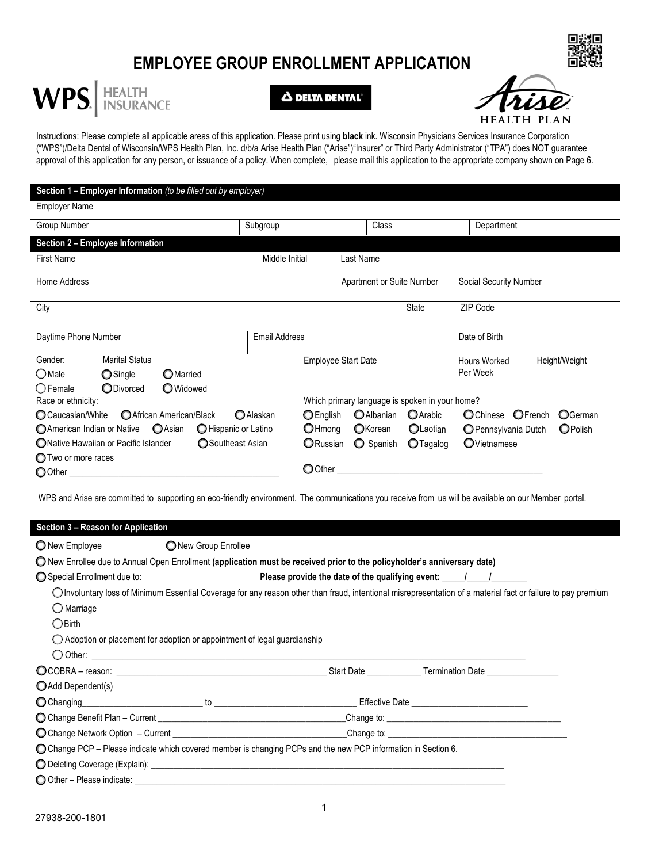# **EMPLOYEE GROUP ENROLLMENT APPLICATION**



 $\Delta$  delta dental'



Instructions: Please complete all applicable areas of this application. Please print using **black** ink. Wisconsin Physicians Services Insurance Corporation ("WPS")/Delta Dental of Wisconsin/WPS Health Plan, Inc. d/b/a Arise Health Plan ("Arise")"Insurer" or Third Party Administrator ("TPA") does NOT guarantee approval of this application for any person, or issuance of a policy. When complete, please mail this application to the appropriate company shown on Page 6.

| Section 1 - Employer Information (to be filled out by employer)                                                                                                                                                                                                                      |                      |                                                                                                                  |         |                                                  |                                                                                  |                    |
|--------------------------------------------------------------------------------------------------------------------------------------------------------------------------------------------------------------------------------------------------------------------------------------|----------------------|------------------------------------------------------------------------------------------------------------------|---------|--------------------------------------------------|----------------------------------------------------------------------------------|--------------------|
| <b>Employer Name</b>                                                                                                                                                                                                                                                                 |                      |                                                                                                                  |         |                                                  |                                                                                  |                    |
| Group Number                                                                                                                                                                                                                                                                         | Subgroup             |                                                                                                                  | Class   |                                                  | Department                                                                       |                    |
| Section 2 - Employee Information                                                                                                                                                                                                                                                     |                      |                                                                                                                  |         |                                                  |                                                                                  |                    |
| <b>First Name</b>                                                                                                                                                                                                                                                                    | Middle Initial       | Last Name                                                                                                        |         |                                                  |                                                                                  |                    |
| Home Address                                                                                                                                                                                                                                                                         |                      |                                                                                                                  |         | Apartment or Suite Number                        | Social Security Number                                                           |                    |
| City                                                                                                                                                                                                                                                                                 |                      |                                                                                                                  |         | <b>State</b>                                     | ZIP Code                                                                         |                    |
| Daytime Phone Number                                                                                                                                                                                                                                                                 | <b>Email Address</b> |                                                                                                                  |         |                                                  | Date of Birth                                                                    |                    |
| Gender:<br><b>Marital Status</b><br>$\bigcirc$ Male<br>Single<br><b>O</b> Married<br>$\bigcirc$ Female<br>ODivorced<br><b>O</b> Widowed                                                                                                                                              |                      | <b>Employee Start Date</b>                                                                                       |         |                                                  | <b>Hours Worked</b><br>Per Week                                                  | Height/Weight      |
| Race or ethnicity:<br>CCaucasian/White<br>African American/Black<br>○ American Indian or Native ○ Asian<br>O Hispanic or Latino<br>Southeast Asian<br>ONative Hawaiian or Pacific Islander<br><b>Two or more races</b>                                                               | <b>O</b> Alaskan     | Which primary language is spoken in your home?<br><b>O</b> English<br>$O$ Hmong<br>ORussian O Spanish<br>O Other | OKorean | OAlbanian OArabic<br><b>OLaotian</b><br>OTagalog | OChinese OFrench<br>O Pennsylvania Dutch<br>OVietnamese                          | OGerman<br>OPolish |
| WPS and Arise are committed to supporting an eco-friendly environment. The communications you receive from us will be available on our Member portal.                                                                                                                                |                      |                                                                                                                  |         |                                                  |                                                                                  |                    |
|                                                                                                                                                                                                                                                                                      |                      |                                                                                                                  |         |                                                  |                                                                                  |                    |
| Section 3 - Reason for Application<br>O New Employee<br>ONew Group Enrollee<br>O New Enrollee due to Annual Open Enrollment (application must be received prior to the policyholder's anniversary date)<br>Special Enrollment due to:                                                |                      |                                                                                                                  |         |                                                  | Please provide the date of the qualifying event: _______________________________ |                    |
| O Involuntary loss of Minimum Essential Coverage for any reason other than fraud, intentional misrepresentation of a material fact or failure to pay premium<br>$\bigcirc$ Marriage<br>$\bigcirc$ Birth<br>◯ Adoption or placement for adoption or appointment of legal guardianship |                      |                                                                                                                  |         |                                                  |                                                                                  |                    |
| $\bigcirc$ COBRA – reason: $\_\_$                                                                                                                                                                                                                                                    |                      | Start Date __                                                                                                    |         |                                                  | Termination Date _                                                               |                    |
| Add Dependent(s)                                                                                                                                                                                                                                                                     |                      |                                                                                                                  |         |                                                  |                                                                                  |                    |
|                                                                                                                                                                                                                                                                                      |                      |                                                                                                                  |         |                                                  |                                                                                  |                    |
|                                                                                                                                                                                                                                                                                      |                      |                                                                                                                  |         |                                                  |                                                                                  |                    |
|                                                                                                                                                                                                                                                                                      |                      |                                                                                                                  |         |                                                  |                                                                                  |                    |
| O Change PCP - Please indicate which covered member is changing PCPs and the new PCP information in Section 6.                                                                                                                                                                       |                      |                                                                                                                  |         |                                                  |                                                                                  |                    |
|                                                                                                                                                                                                                                                                                      |                      |                                                                                                                  |         |                                                  |                                                                                  |                    |

 $\bigcirc$  Other – Please indicate: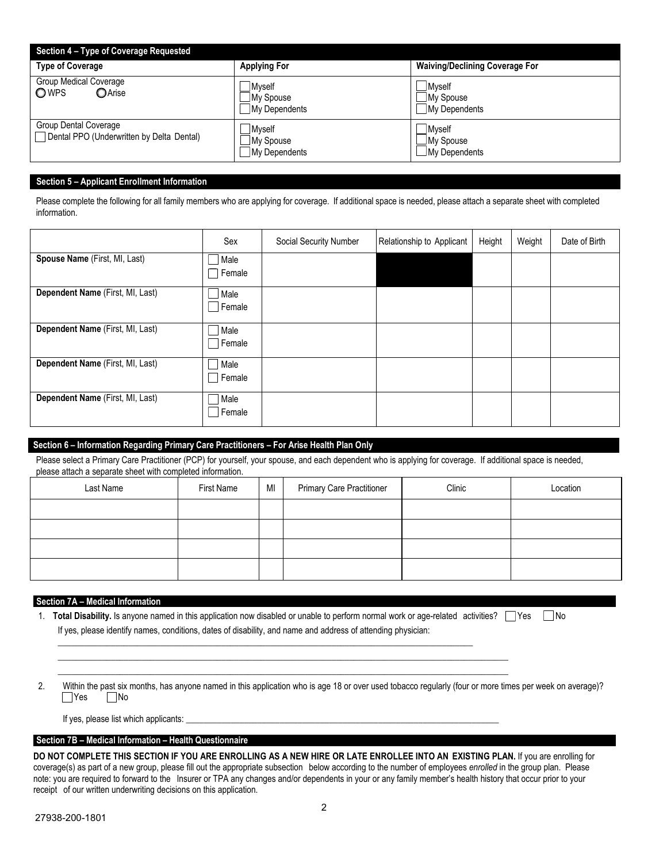| Section 4 - Type of Coverage Requested                                    |                                              |                                                     |
|---------------------------------------------------------------------------|----------------------------------------------|-----------------------------------------------------|
| <b>Type of Coverage</b>                                                   | <b>Applying For</b>                          | <b>Waiving/Declining Coverage For</b>               |
| <b>Group Medical Coverage</b><br>OWPS<br>OArise                           | <b>M</b> vself<br>My Spouse<br>My Dependents | <b>Mvself</b><br>∐My Spouse<br>My Dependents        |
| <b>Group Dental Coverage</b><br>Dental PPO (Underwritten by Delta Dental) | Myself<br>My Spouse<br>My Dependents         | <b>Myself</b><br>⊿My Spouse<br><b>Ny Dependents</b> |

## **Section 5 – Applicant Enrollment Information**

Please complete the following for all family members who are applying for coverage. If additional space is needed, please attach a separate sheet with completed information.

|                                  | Sex            | Social Security Number | Relationship to Applicant | Height | Weight | Date of Birth |
|----------------------------------|----------------|------------------------|---------------------------|--------|--------|---------------|
| Spouse Name (First, MI, Last)    | Male<br>Female |                        |                           |        |        |               |
| Dependent Name (First, MI, Last) | Male<br>Female |                        |                           |        |        |               |
| Dependent Name (First, MI, Last) | Male<br>Female |                        |                           |        |        |               |
| Dependent Name (First, MI, Last) | Male<br>Female |                        |                           |        |        |               |
| Dependent Name (First, MI, Last) | Male<br>Female |                        |                           |        |        |               |

## **Section 6 – Information Regarding Primary Care Practitioners – For Arise Health Plan Only**

Please select a Primary Care Practitioner (PCP) for yourself, your spouse, and each dependent who is applying for coverage. If additional space is needed, please attach a separate sheet with completed information.

| Last Name | First Name | MI | <b>Primary Care Practitioner</b> | Clinic | Location |
|-----------|------------|----|----------------------------------|--------|----------|
|           |            |    |                                  |        |          |
|           |            |    |                                  |        |          |
|           |            |    |                                  |        |          |
|           |            |    |                                  |        |          |

#### **Section 7A – Medical Information**

1. **Total Disability.** Is anyone named in this application now disabled or unable to perform normal work or age-related activities? Yes Mo If yes, please identify names, conditions, dates of disability, and name and address of attending physician:

 $\_$  ,  $\_$  ,  $\_$  ,  $\_$  ,  $\_$  ,  $\_$  ,  $\_$  ,  $\_$  ,  $\_$  ,  $\_$  ,  $\_$  ,  $\_$  ,  $\_$  ,  $\_$  ,  $\_$  ,  $\_$  ,  $\_$  ,  $\_$  ,  $\_$  ,  $\_$  ,  $\_$  ,  $\_$  ,  $\_$  ,  $\_$  ,  $\_$  ,  $\_$  ,  $\_$  ,  $\_$  ,  $\_$  ,  $\_$  ,  $\_$  ,  $\_$  ,  $\_$  ,  $\_$  ,  $\_$  ,  $\_$  ,  $\_$  ,

 $\_$  , and the set of the set of the set of the set of the set of the set of the set of the set of the set of the set of the set of the set of the set of the set of the set of the set of the set of the set of the set of th \_\_\_\_\_\_\_\_\_\_\_\_\_\_\_\_\_\_\_\_\_\_\_\_\_\_\_\_\_\_\_\_\_\_\_\_\_\_\_\_\_\_\_\_\_\_\_\_\_\_\_\_\_\_\_\_\_\_\_\_\_\_\_\_\_\_\_\_\_\_\_\_\_\_\_\_\_\_\_\_\_\_\_\_\_\_\_\_\_\_\_\_\_\_\_\_\_\_\_\_\_\_

2. Within the past six months, has anyone named in this application who is age 18 or over used tobacco regularly (four or more times per week on average)? **P**Yes No

If yes, please list which applicants:

#### **Section 7B – Medical Information – Health Questionnaire**

**DO NOT COMPLETE THIS SECTION IF YOU ARE ENROLLING AS A NEW HIRE OR LATE ENROLLEE INTO AN EXISTING PLAN.** If you are enrolling for coverage(s) as part of a new group, please fill out the appropriate subsection below according to the number of employees *enrolled* in the group plan. Please note: you are required to forward to the Insurer or TPA any changes and/or dependents in your or any family member's health history that occur prior to your receipt of our written underwriting decisions on this application.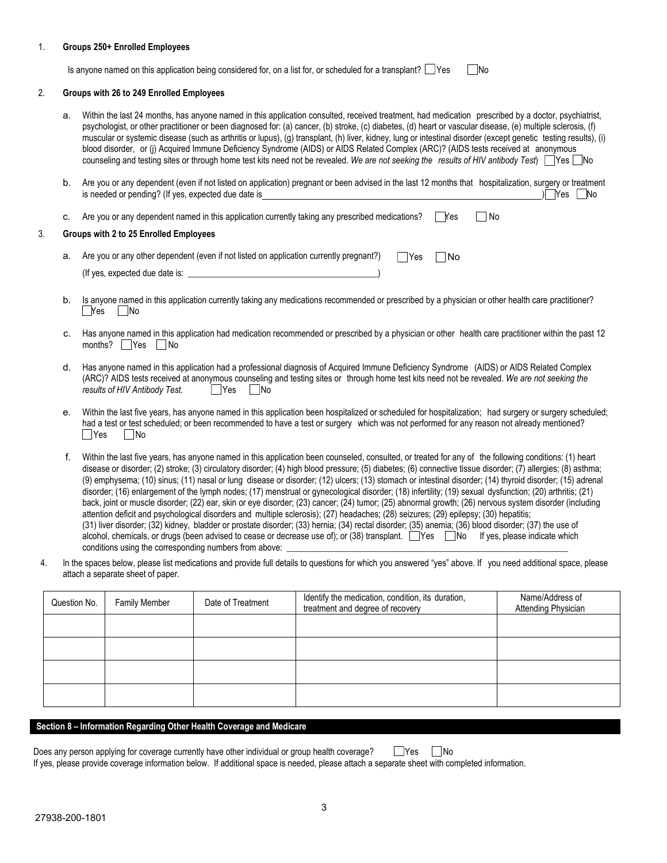#### 1. **Groups 250+ Enrolled Employees**

Is anyone named on this application being considered for, on a list for, or scheduled for a transplant?  $\Box$  Yes  $\Box$  No

#### 2. **Groups with 26 to 249 Enrolled Employees**

- a. Within the last 24 months, has anyone named in this application consulted, received treatment, had medication prescribed by a doctor, psychiatrist, psychologist, or other practitioner or been diagnosed for: (a) cancer, (b) stroke, (c) diabetes, (d) heart or vascular disease, (e) multiple sclerosis, (f) muscular or systemic disease (such as arthritis or lupus), (g) transplant, (h) liver, kidney, lung or intestinal disorder (except genetic testing results), (i) blood disorder, or (j) Acquired Immune Deficiency Syndrome (AIDS) or AIDS Related Complex (ARC)? (AIDS tests received at anonymous counseling and testing sites or through home test kits need not be revealed. *We are not seeking the results of HIV antibody Test*) qYes qNo
- b. Are you or any dependent (even if not listed on application) pregnant or been advised in the last 12 months that hospitalization, surgery or treatment is needed or pending? (If yes, expected due date is ) qYes qNo

|  | Are you or any dependent named in this application currently taking any prescribed medications?         | Yes | l No |
|--|---------------------------------------------------------------------------------------------------------|-----|------|
|  | Groups with 2 to 25 Enrolled Employees                                                                  |     |      |
|  | a. Are you or any other dependent (even if not listed on application currently pregnant?)<br><b>Yes</b> | lNo |      |
|  | (If yes, expected due date is:                                                                          |     |      |

- b. Is anyone named in this application currently taking any medications recommended or prescribed by a physician or other health care practitioner?  $\Box$ Yes  $\Box$ No
- c. Has anyone named in this application had medication recommended or prescribed by a physician or other health care practitioner within the past 12 months?  $\Box$  Yes  $\Box$  No
- d. Has anyone named in this application had a professional diagnosis of Acquired Immune Deficiency Syndrome (AIDS) or AIDS Related Complex (ARC)? AIDS tests received at anonymous counseling and testing sites or through home test kits need not be revealed. *We are not seeking the*  $r$ esults of HIV Antibody Test.
- $\Box$ Yes e. Within the last five years, has anyone named in this application been hospitalized or scheduled for hospitalization; had surgery or surgery scheduled; had a test or test scheduled; or been recommended to have a test or surgery which was not performed for any reason not already mentioned? | No
- f. Within the last five years, has anyone named in this application been counseled, consulted, or treated for any of the following conditions: (1) heart disease or disorder; (2) stroke; (3) circulatory disorder; (4) high blood pressure; (5) diabetes; (6) connective tissue disorder; (7) allergies; (8) asthma; (9) emphysema; (10) sinus; (11) nasal or lung disease or disorder; (12) ulcers; (13) stomach or intestinal disorder; (14) thyroid disorder; (15) adrenal disorder; (16) enlargement of the lymph nodes; (17) menstrual or gynecological disorder; (18) infertility; (19) sexual dysfunction; (20) arthritis; (21) back, joint or muscle disorder; (22) ear, skin or eye disorder; (23) cancer; (24) tumor; (25) abnormal growth; (26) nervous system disorder (including attention deficit and psychological disorders and multiple sclerosis); (27) headaches; (28) seizures; (29) epilepsy; (30) hepatitis; (31) liver disorder; (32) kidney, bladder or prostate disorder; (33) hernia; (34) rectal disorder; (35) anemia; (36) blood disorder; (37) the use of alcohol, chemicals, or drugs (been advised to cease or decrease use of); or (38) transplant.  $\Box$ Yes  $\Box$ No If yes, please indicate which conditions using the corresponding numbers from above:
- 4. In the spaces below, please list medications and provide full details to questions for which you answered "yes" above. If you need additional space, please attach a separate sheet of paper.

| Question No. | <b>Family Member</b> | Date of Treatment | Identify the medication, condition, its duration,<br>treatment and degree of recovery | Name/Address of<br><b>Attending Physician</b> |
|--------------|----------------------|-------------------|---------------------------------------------------------------------------------------|-----------------------------------------------|
|              |                      |                   |                                                                                       |                                               |
|              |                      |                   |                                                                                       |                                               |
|              |                      |                   |                                                                                       |                                               |
|              |                      |                   |                                                                                       |                                               |

#### **Section 8 – Information Regarding Other Health Coverage and Medicare**

|  |  | Does any person applying for coverage currently have other individual or group health coverage?                                              |  | Yes    No |  |
|--|--|----------------------------------------------------------------------------------------------------------------------------------------------|--|-----------|--|
|  |  | If yes, please provide coverage information below. If additional space is needed, please attach a separate sheet with completed information. |  |           |  |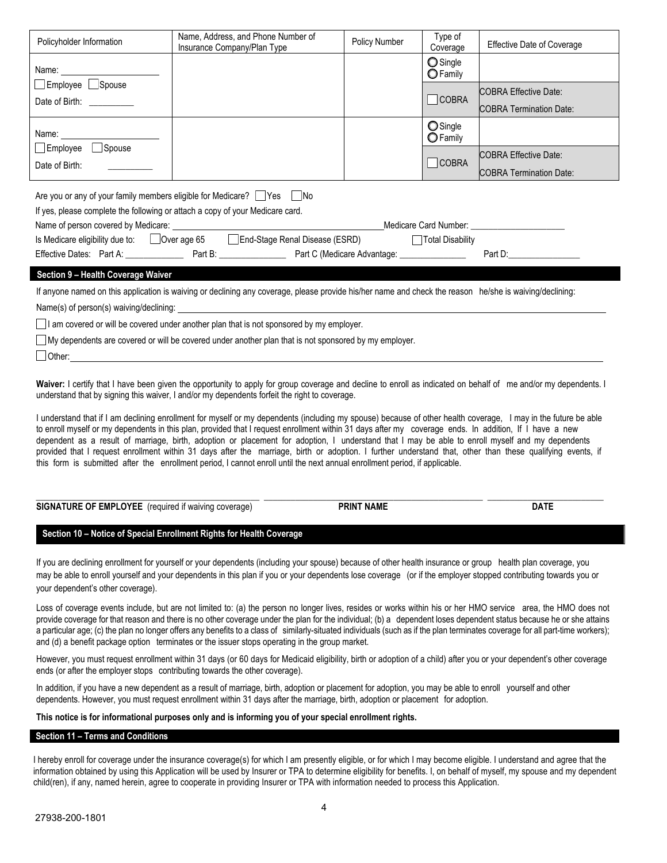| Policyholder Information                                                                                                                                                                                                                                                                                                                                                                                                                                                                                                                                                                                                                    | Name, Address, and Phone Number of<br>Insurance Company/Plan Type | <b>Policy Number</b> | Type of<br>Coverage         | <b>Effective Date of Coverage</b> |  |
|---------------------------------------------------------------------------------------------------------------------------------------------------------------------------------------------------------------------------------------------------------------------------------------------------------------------------------------------------------------------------------------------------------------------------------------------------------------------------------------------------------------------------------------------------------------------------------------------------------------------------------------------|-------------------------------------------------------------------|----------------------|-----------------------------|-----------------------------------|--|
|                                                                                                                                                                                                                                                                                                                                                                                                                                                                                                                                                                                                                                             |                                                                   |                      | Single<br>$\bigcirc$ Family |                                   |  |
| Employee Spouse                                                                                                                                                                                                                                                                                                                                                                                                                                                                                                                                                                                                                             |                                                                   |                      |                             | <b>COBRA Effective Date:</b>      |  |
| Date of Birth: __________                                                                                                                                                                                                                                                                                                                                                                                                                                                                                                                                                                                                                   |                                                                   |                      | <b>COBRA</b>                | <b>COBRA Termination Date:</b>    |  |
|                                                                                                                                                                                                                                                                                                                                                                                                                                                                                                                                                                                                                                             |                                                                   |                      | Single<br>$\bigcirc$ Family |                                   |  |
| Employee Spouse                                                                                                                                                                                                                                                                                                                                                                                                                                                                                                                                                                                                                             |                                                                   |                      | $\Box$ COBRA                | <b>COBRA Effective Date:</b>      |  |
| Date of Birth:                                                                                                                                                                                                                                                                                                                                                                                                                                                                                                                                                                                                                              |                                                                   |                      |                             | <b>COBRA Termination Date:</b>    |  |
| Are you or any of your family members eligible for Medicare? $\Box$ Yes $\Box$ No<br>If yes, please complete the following or attach a copy of your Medicare card.<br>Is Medicare eligibility due to: □ Over age 65 □ End-Stage Renal Disease (ESRD) □ □ Total Disability                                                                                                                                                                                                                                                                                                                                                                   |                                                                   |                      |                             |                                   |  |
| Section 9 - Health Coverage Waiver<br>If anyone named on this application is waiving or declining any coverage, please provide his/her name and check the reason he/she is waiving/declining:<br>Name(s) of person(s) waiving/declining: Name of the state of the state of the state of the state of the state of the state of the state of the state of the state of the state of the state of the state of the state of the s<br>I am covered or will be covered under another plan that is not sponsored by my employer.<br>$\Box$ My dependents are covered or will be covered under another plan that is not sponsored by my employer. |                                                                   |                      |                             |                                   |  |
| Waiver: I certify that I have been given the opportunity to apply for group coverage and decline to enroll as indicated on behalf of me and/or my dependents. I<br>understand that by signing this waiver, I and/or my dependents forfeit the right to coverage.                                                                                                                                                                                                                                                                                                                                                                            |                                                                   |                      |                             |                                   |  |

I understand that if I am declining enrollment for myself or my dependents (including my spouse) because of other health coverage, I may in the future be able to enroll myself or my dependents in this plan, provided that I request enrollment within 31 days after my coverage ends. In addition, If I have a new dependent as a result of marriage, birth, adoption or placement for adoption, I understand that I may be able to enroll myself and my dependents provided that I request enrollment within 31 days after the marriage, birth or adoption. I further understand that, other than these qualifying events, if this form is submitted after the enrollment period, I cannot enroll until the next annual enrollment period, if applicable.

| <b>SIGNATURE OF EMPLOYEE</b><br>. .<br>required if waiving<br>coverage) | <b>PRINT NAME</b> | <b>DATE</b> |
|-------------------------------------------------------------------------|-------------------|-------------|
|                                                                         |                   |             |

## **Section 10 – Notice of Special Enrollment Rights for Health Coverage**

If you are declining enrollment for yourself or your dependents (including your spouse) because of other health insurance or group health plan coverage, you may be able to enroll yourself and your dependents in this plan if you or your dependents lose coverage (or if the employer stopped contributing towards you or your dependent's other coverage).

Loss of coverage events include, but are not limited to: (a) the person no longer lives, resides or works within his or her HMO service area, the HMO does not provide coverage for that reason and there is no other coverage under the plan for the individual; (b) a dependent loses dependent status because he or she attains a particular age; (c) the plan no longer offers any benefits to a class of similarly-situated individuals (such as if the plan terminates coverage for all part-time workers); and (d) a benefit package option terminates or the issuer stops operating in the group market.

However, you must request enrollment within 31 days (or 60 days for Medicaid eligibility, birth or adoption of a child) after you or your dependent's other coverage ends (or after the employer stops contributing towards the other coverage).

In addition, if you have a new dependent as a result of marriage, birth, adoption or placement for adoption, you may be able to enroll yourself and other dependents. However, you must request enrollment within 31 days after the marriage, birth, adoption or placement for adoption.

**This notice is for informational purposes only and is informing you of your special enrollment rights.**

## **Section 11 – Terms and Conditions**

I hereby enroll for coverage under the insurance coverage(s) for which I am presently eligible, or for which I may become eligible. I understand and agree that the information obtained by using this Application will be used by Insurer or TPA to determine eligibility for benefits. I, on behalf of myself, my spouse and my dependent child(ren), if any, named herein, agree to cooperate in providing Insurer or TPA with information needed to process this Application.